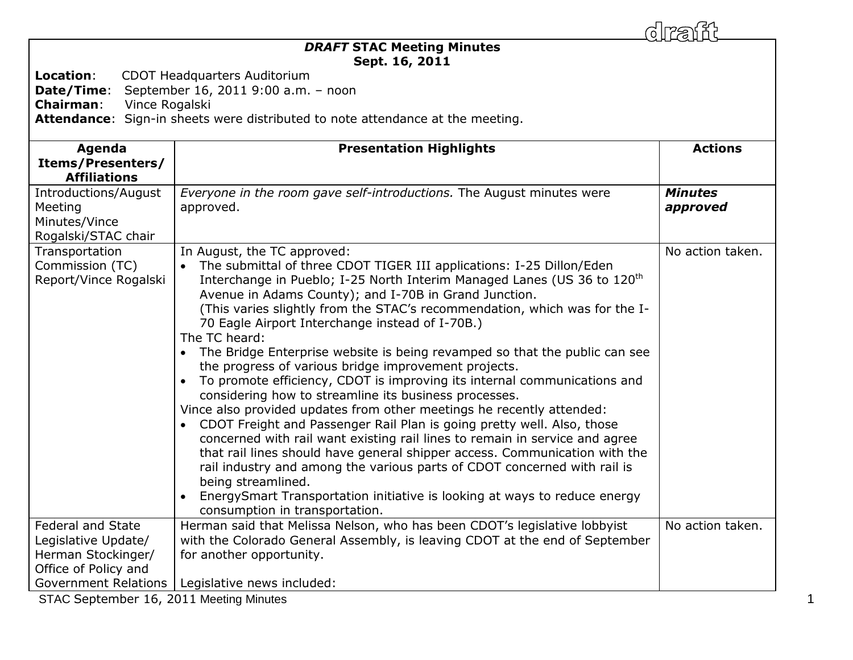| <b>DRAFT STAC Meeting Minutes</b><br>Sept. 16, 2011<br>Location:<br>CDOT Headquarters Auditorium<br>Date/Time:<br>September 16, 2011 9:00 a.m. - noon<br><b>Chairman:</b><br>Vince Rogalski<br>Attendance: Sign-in sheets were distributed to note attendance at the meeting. |                                                                                                                                                                                                                                                                                                                                                                                                                                                                                                                                                                                                                                                                                                                                                                                                                                                                                                                                                                                                                                                                                                                                                                                                                                |                            |  |
|-------------------------------------------------------------------------------------------------------------------------------------------------------------------------------------------------------------------------------------------------------------------------------|--------------------------------------------------------------------------------------------------------------------------------------------------------------------------------------------------------------------------------------------------------------------------------------------------------------------------------------------------------------------------------------------------------------------------------------------------------------------------------------------------------------------------------------------------------------------------------------------------------------------------------------------------------------------------------------------------------------------------------------------------------------------------------------------------------------------------------------------------------------------------------------------------------------------------------------------------------------------------------------------------------------------------------------------------------------------------------------------------------------------------------------------------------------------------------------------------------------------------------|----------------------------|--|
| Agenda<br><b>Items/Presenters/</b><br><b>Affiliations</b>                                                                                                                                                                                                                     | <b>Presentation Highlights</b>                                                                                                                                                                                                                                                                                                                                                                                                                                                                                                                                                                                                                                                                                                                                                                                                                                                                                                                                                                                                                                                                                                                                                                                                 | <b>Actions</b>             |  |
| Introductions/August<br>Meeting<br>Minutes/Vince<br>Rogalski/STAC chair                                                                                                                                                                                                       | Everyone in the room gave self-introductions. The August minutes were<br>approved.                                                                                                                                                                                                                                                                                                                                                                                                                                                                                                                                                                                                                                                                                                                                                                                                                                                                                                                                                                                                                                                                                                                                             | <b>Minutes</b><br>approved |  |
| Transportation<br>Commission (TC)<br>Report/Vince Rogalski                                                                                                                                                                                                                    | In August, the TC approved:<br>The submittal of three CDOT TIGER III applications: I-25 Dillon/Eden<br>Interchange in Pueblo; I-25 North Interim Managed Lanes (US 36 to 120 <sup>th</sup><br>Avenue in Adams County); and I-70B in Grand Junction.<br>(This varies slightly from the STAC's recommendation, which was for the I-<br>70 Eagle Airport Interchange instead of I-70B.)<br>The TC heard:<br>The Bridge Enterprise website is being revamped so that the public can see<br>the progress of various bridge improvement projects.<br>To promote efficiency, CDOT is improving its internal communications and<br>considering how to streamline its business processes.<br>Vince also provided updates from other meetings he recently attended:<br>CDOT Freight and Passenger Rail Plan is going pretty well. Also, those<br>concerned with rail want existing rail lines to remain in service and agree<br>that rail lines should have general shipper access. Communication with the<br>rail industry and among the various parts of CDOT concerned with rail is<br>being streamlined.<br>EnergySmart Transportation initiative is looking at ways to reduce energy<br>$\bullet$<br>consumption in transportation. | No action taken.           |  |
| <b>Federal and State</b><br>Legislative Update/<br>Herman Stockinger/<br>Office of Policy and                                                                                                                                                                                 | Herman said that Melissa Nelson, who has been CDOT's legislative lobbyist<br>with the Colorado General Assembly, is leaving CDOT at the end of September<br>for another opportunity.                                                                                                                                                                                                                                                                                                                                                                                                                                                                                                                                                                                                                                                                                                                                                                                                                                                                                                                                                                                                                                           | No action taken.           |  |
| <b>Government Relations</b><br>STAC September 16, 2011 Meeting Minutes                                                                                                                                                                                                        | Legislative news included:                                                                                                                                                                                                                                                                                                                                                                                                                                                                                                                                                                                                                                                                                                                                                                                                                                                                                                                                                                                                                                                                                                                                                                                                     |                            |  |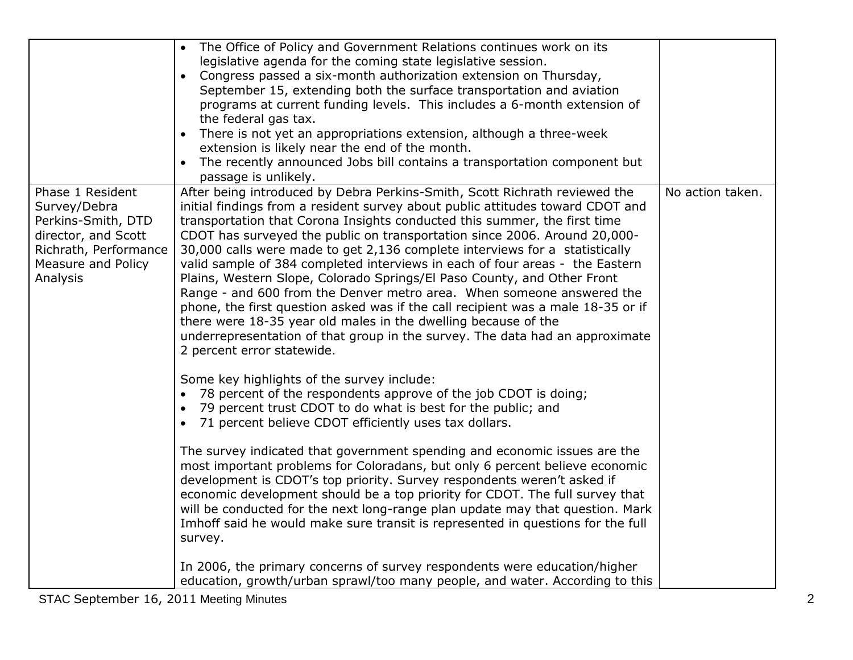|                                                                                                                                          | The Office of Policy and Government Relations continues work on its<br>legislative agenda for the coming state legislative session.<br>Congress passed a six-month authorization extension on Thursday,<br>$\bullet$<br>September 15, extending both the surface transportation and aviation<br>programs at current funding levels. This includes a 6-month extension of<br>the federal gas tax.<br>There is not yet an appropriations extension, although a three-week<br>extension is likely near the end of the month.<br>The recently announced Jobs bill contains a transportation component but<br>passage is unlikely.                                                                                                                                                                                                                                                                                                                                                                                                                                                                                                                                                                                                                                                                                                                                                                                                         |                  |
|------------------------------------------------------------------------------------------------------------------------------------------|---------------------------------------------------------------------------------------------------------------------------------------------------------------------------------------------------------------------------------------------------------------------------------------------------------------------------------------------------------------------------------------------------------------------------------------------------------------------------------------------------------------------------------------------------------------------------------------------------------------------------------------------------------------------------------------------------------------------------------------------------------------------------------------------------------------------------------------------------------------------------------------------------------------------------------------------------------------------------------------------------------------------------------------------------------------------------------------------------------------------------------------------------------------------------------------------------------------------------------------------------------------------------------------------------------------------------------------------------------------------------------------------------------------------------------------|------------------|
| Phase 1 Resident<br>Survey/Debra<br>Perkins-Smith, DTD<br>director, and Scott<br>Richrath, Performance<br>Measure and Policy<br>Analysis | After being introduced by Debra Perkins-Smith, Scott Richrath reviewed the<br>initial findings from a resident survey about public attitudes toward CDOT and<br>transportation that Corona Insights conducted this summer, the first time<br>CDOT has surveyed the public on transportation since 2006. Around 20,000-<br>30,000 calls were made to get 2,136 complete interviews for a statistically<br>valid sample of 384 completed interviews in each of four areas - the Eastern<br>Plains, Western Slope, Colorado Springs/El Paso County, and Other Front<br>Range - and 600 from the Denver metro area. When someone answered the<br>phone, the first question asked was if the call recipient was a male 18-35 or if<br>there were 18-35 year old males in the dwelling because of the<br>underrepresentation of that group in the survey. The data had an approximate<br>2 percent error statewide.<br>Some key highlights of the survey include:<br>78 percent of the respondents approve of the job CDOT is doing;<br>$\bullet$<br>79 percent trust CDOT to do what is best for the public; and<br>$\bullet$<br>71 percent believe CDOT efficiently uses tax dollars.<br>$\bullet$<br>The survey indicated that government spending and economic issues are the<br>most important problems for Coloradans, but only 6 percent believe economic<br>development is CDOT's top priority. Survey respondents weren't asked if | No action taken. |
|                                                                                                                                          | economic development should be a top priority for CDOT. The full survey that<br>will be conducted for the next long-range plan update may that question. Mark<br>Imhoff said he would make sure transit is represented in questions for the full<br>survey.<br>In 2006, the primary concerns of survey respondents were education/higher<br>education, growth/urban sprawl/too many people, and water. According to this                                                                                                                                                                                                                                                                                                                                                                                                                                                                                                                                                                                                                                                                                                                                                                                                                                                                                                                                                                                                              |                  |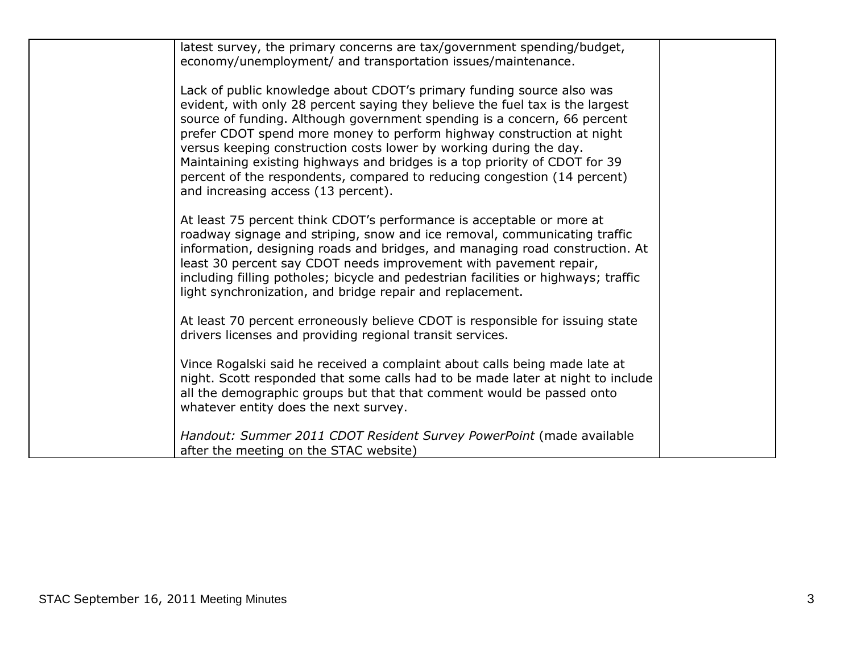| latest survey, the primary concerns are tax/government spending/budget,<br>economy/unemployment/ and transportation issues/maintenance.                                                                                                                                                                                                                                                                                                                                                                                                                                            |  |
|------------------------------------------------------------------------------------------------------------------------------------------------------------------------------------------------------------------------------------------------------------------------------------------------------------------------------------------------------------------------------------------------------------------------------------------------------------------------------------------------------------------------------------------------------------------------------------|--|
| Lack of public knowledge about CDOT's primary funding source also was<br>evident, with only 28 percent saying they believe the fuel tax is the largest<br>source of funding. Although government spending is a concern, 66 percent<br>prefer CDOT spend more money to perform highway construction at night<br>versus keeping construction costs lower by working during the day.<br>Maintaining existing highways and bridges is a top priority of CDOT for 39<br>percent of the respondents, compared to reducing congestion (14 percent)<br>and increasing access (13 percent). |  |
| At least 75 percent think CDOT's performance is acceptable or more at<br>roadway signage and striping, snow and ice removal, communicating traffic<br>information, designing roads and bridges, and managing road construction. At<br>least 30 percent say CDOT needs improvement with pavement repair,<br>including filling potholes; bicycle and pedestrian facilities or highways; traffic<br>light synchronization, and bridge repair and replacement.                                                                                                                         |  |
| At least 70 percent erroneously believe CDOT is responsible for issuing state<br>drivers licenses and providing regional transit services.                                                                                                                                                                                                                                                                                                                                                                                                                                         |  |
| Vince Rogalski said he received a complaint about calls being made late at<br>night. Scott responded that some calls had to be made later at night to include<br>all the demographic groups but that that comment would be passed onto<br>whatever entity does the next survey.                                                                                                                                                                                                                                                                                                    |  |
| Handout: Summer 2011 CDOT Resident Survey PowerPoint (made available<br>after the meeting on the STAC website)                                                                                                                                                                                                                                                                                                                                                                                                                                                                     |  |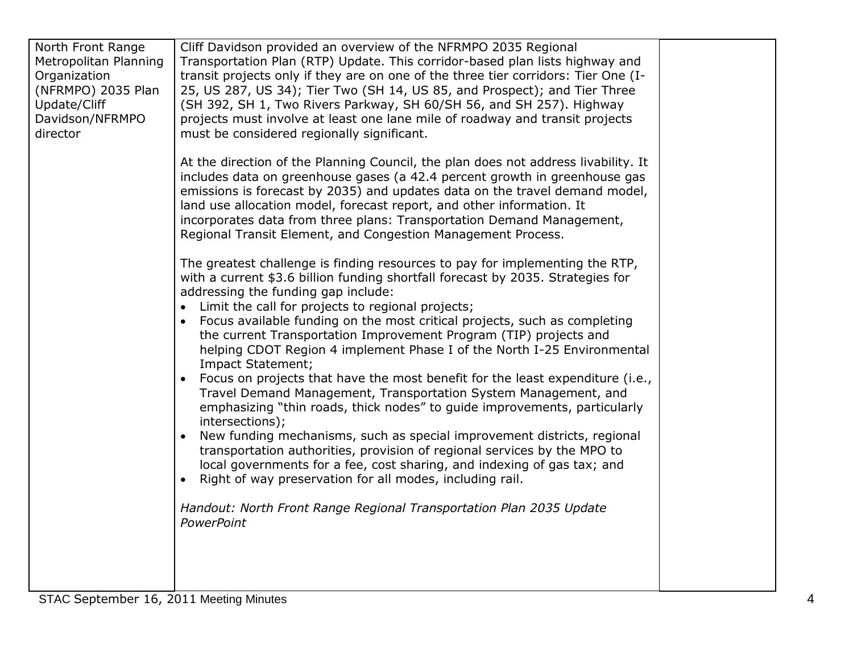| At the direction of the Planning Council, the plan does not address livability. It<br>includes data on greenhouse gases (a 42.4 percent growth in greenhouse gas<br>emissions is forecast by 2035) and updates data on the travel demand model,<br>land use allocation model, forecast report, and other information. It<br>incorporates data from three plans: Transportation Demand Management,<br>Regional Transit Element, and Congestion Management Process.<br>The greatest challenge is finding resources to pay for implementing the RTP,<br>with a current \$3.6 billion funding shortfall forecast by 2035. Strategies for<br>addressing the funding gap include:<br>• Limit the call for projects to regional projects;<br>Focus available funding on the most critical projects, such as completing<br>the current Transportation Improvement Program (TIP) projects and<br>helping CDOT Region 4 implement Phase I of the North I-25 Environmental<br>Impact Statement;<br>Focus on projects that have the most benefit for the least expenditure (i.e.,<br>Travel Demand Management, Transportation System Management, and<br>emphasizing "thin roads, thick nodes" to guide improvements, particularly<br>intersections);<br>New funding mechanisms, such as special improvement districts, regional<br>transportation authorities, provision of regional services by the MPO to<br>local governments for a fee, cost sharing, and indexing of gas tax; and<br>Right of way preservation for all modes, including rail.<br>Handout: North Front Range Regional Transportation Plan 2035 Update<br>PowerPoint | North Front Range<br>Metropolitan Planning<br>Organization<br>(NFRMPO) 2035 Plan<br>Update/Cliff<br>Davidson/NFRMPO<br>director | Cliff Davidson provided an overview of the NFRMPO 2035 Regional<br>Transportation Plan (RTP) Update. This corridor-based plan lists highway and<br>transit projects only if they are on one of the three tier corridors: Tier One (I-<br>25, US 287, US 34); Tier Two (SH 14, US 85, and Prospect); and Tier Three<br>(SH 392, SH 1, Two Rivers Parkway, SH 60/SH 56, and SH 257). Highway<br>projects must involve at least one lane mile of roadway and transit projects<br>must be considered regionally significant. |  |
|-----------------------------------------------------------------------------------------------------------------------------------------------------------------------------------------------------------------------------------------------------------------------------------------------------------------------------------------------------------------------------------------------------------------------------------------------------------------------------------------------------------------------------------------------------------------------------------------------------------------------------------------------------------------------------------------------------------------------------------------------------------------------------------------------------------------------------------------------------------------------------------------------------------------------------------------------------------------------------------------------------------------------------------------------------------------------------------------------------------------------------------------------------------------------------------------------------------------------------------------------------------------------------------------------------------------------------------------------------------------------------------------------------------------------------------------------------------------------------------------------------------------------------------------------------------------------------------------------------------------------------|---------------------------------------------------------------------------------------------------------------------------------|--------------------------------------------------------------------------------------------------------------------------------------------------------------------------------------------------------------------------------------------------------------------------------------------------------------------------------------------------------------------------------------------------------------------------------------------------------------------------------------------------------------------------|--|
|                                                                                                                                                                                                                                                                                                                                                                                                                                                                                                                                                                                                                                                                                                                                                                                                                                                                                                                                                                                                                                                                                                                                                                                                                                                                                                                                                                                                                                                                                                                                                                                                                             |                                                                                                                                 |                                                                                                                                                                                                                                                                                                                                                                                                                                                                                                                          |  |
|                                                                                                                                                                                                                                                                                                                                                                                                                                                                                                                                                                                                                                                                                                                                                                                                                                                                                                                                                                                                                                                                                                                                                                                                                                                                                                                                                                                                                                                                                                                                                                                                                             |                                                                                                                                 |                                                                                                                                                                                                                                                                                                                                                                                                                                                                                                                          |  |
|                                                                                                                                                                                                                                                                                                                                                                                                                                                                                                                                                                                                                                                                                                                                                                                                                                                                                                                                                                                                                                                                                                                                                                                                                                                                                                                                                                                                                                                                                                                                                                                                                             |                                                                                                                                 |                                                                                                                                                                                                                                                                                                                                                                                                                                                                                                                          |  |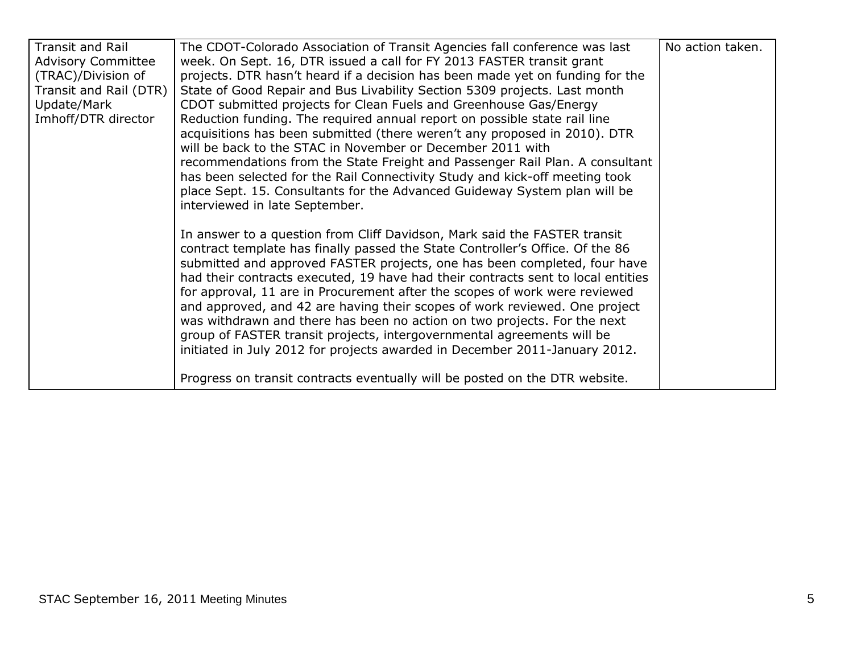| <b>Transit and Rail</b>   | The CDOT-Colorado Association of Transit Agencies fall conference was last       | No action taken. |
|---------------------------|----------------------------------------------------------------------------------|------------------|
| <b>Advisory Committee</b> | week. On Sept. 16, DTR issued a call for FY 2013 FASTER transit grant            |                  |
| (TRAC)/Division of        | projects. DTR hasn't heard if a decision has been made yet on funding for the    |                  |
| Transit and Rail (DTR)    | State of Good Repair and Bus Livability Section 5309 projects. Last month        |                  |
| Update/Mark               | CDOT submitted projects for Clean Fuels and Greenhouse Gas/Energy                |                  |
| Imhoff/DTR director       | Reduction funding. The required annual report on possible state rail line        |                  |
|                           | acquisitions has been submitted (there weren't any proposed in 2010). DTR        |                  |
|                           | will be back to the STAC in November or December 2011 with                       |                  |
|                           | recommendations from the State Freight and Passenger Rail Plan. A consultant     |                  |
|                           | has been selected for the Rail Connectivity Study and kick-off meeting took      |                  |
|                           | place Sept. 15. Consultants for the Advanced Guideway System plan will be        |                  |
|                           | interviewed in late September.                                                   |                  |
|                           |                                                                                  |                  |
|                           | In answer to a question from Cliff Davidson, Mark said the FASTER transit        |                  |
|                           | contract template has finally passed the State Controller's Office. Of the 86    |                  |
|                           | submitted and approved FASTER projects, one has been completed, four have        |                  |
|                           | had their contracts executed, 19 have had their contracts sent to local entities |                  |
|                           | for approval, 11 are in Procurement after the scopes of work were reviewed       |                  |
|                           | and approved, and 42 are having their scopes of work reviewed. One project       |                  |
|                           | was withdrawn and there has been no action on two projects. For the next         |                  |
|                           | group of FASTER transit projects, intergovernmental agreements will be           |                  |
|                           | initiated in July 2012 for projects awarded in December 2011-January 2012.       |                  |
|                           |                                                                                  |                  |
|                           | Progress on transit contracts eventually will be posted on the DTR website.      |                  |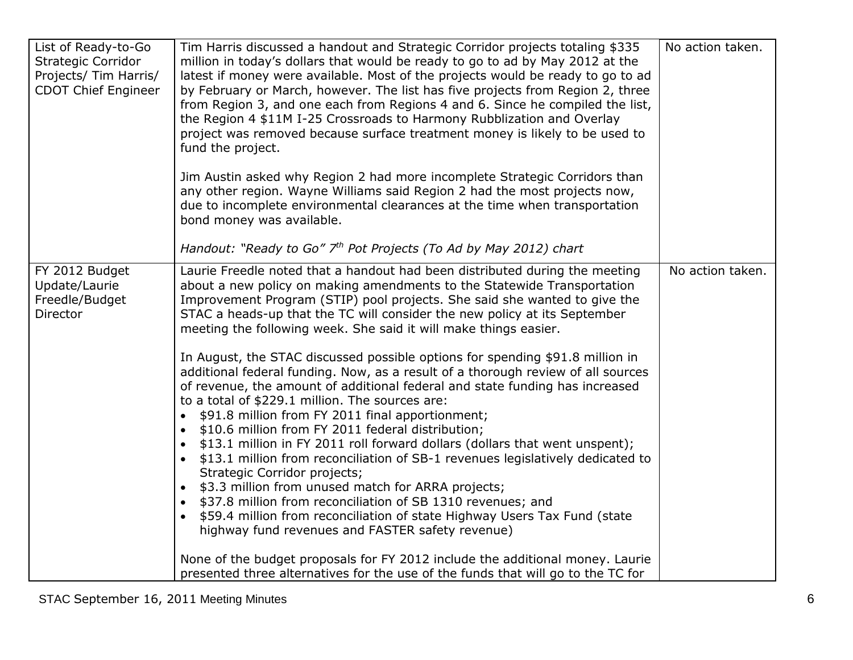| List of Ready-to-Go<br><b>Strategic Corridor</b><br>Projects/ Tim Harris/<br><b>CDOT Chief Engineer</b> | Tim Harris discussed a handout and Strategic Corridor projects totaling \$335<br>million in today's dollars that would be ready to go to ad by May 2012 at the<br>latest if money were available. Most of the projects would be ready to go to ad<br>by February or March, however. The list has five projects from Region 2, three<br>from Region 3, and one each from Regions 4 and 6. Since he compiled the list,<br>the Region 4 \$11M I-25 Crossroads to Harmony Rubblization and Overlay<br>project was removed because surface treatment money is likely to be used to<br>fund the project.                                                                                                                                                                                                                                                                                                                                                                                                                                                                                                                                                                                                                                                                                                                                         | No action taken. |
|---------------------------------------------------------------------------------------------------------|--------------------------------------------------------------------------------------------------------------------------------------------------------------------------------------------------------------------------------------------------------------------------------------------------------------------------------------------------------------------------------------------------------------------------------------------------------------------------------------------------------------------------------------------------------------------------------------------------------------------------------------------------------------------------------------------------------------------------------------------------------------------------------------------------------------------------------------------------------------------------------------------------------------------------------------------------------------------------------------------------------------------------------------------------------------------------------------------------------------------------------------------------------------------------------------------------------------------------------------------------------------------------------------------------------------------------------------------|------------------|
|                                                                                                         | Jim Austin asked why Region 2 had more incomplete Strategic Corridors than<br>any other region. Wayne Williams said Region 2 had the most projects now,<br>due to incomplete environmental clearances at the time when transportation<br>bond money was available.                                                                                                                                                                                                                                                                                                                                                                                                                                                                                                                                                                                                                                                                                                                                                                                                                                                                                                                                                                                                                                                                         |                  |
|                                                                                                         | Handout: "Ready to Go" $7th$ Pot Projects (To Ad by May 2012) chart                                                                                                                                                                                                                                                                                                                                                                                                                                                                                                                                                                                                                                                                                                                                                                                                                                                                                                                                                                                                                                                                                                                                                                                                                                                                        |                  |
| FY 2012 Budget<br>Update/Laurie<br>Freedle/Budget<br>Director                                           | Laurie Freedle noted that a handout had been distributed during the meeting<br>about a new policy on making amendments to the Statewide Transportation<br>Improvement Program (STIP) pool projects. She said she wanted to give the<br>STAC a heads-up that the TC will consider the new policy at its September<br>meeting the following week. She said it will make things easier.<br>In August, the STAC discussed possible options for spending \$91.8 million in<br>additional federal funding. Now, as a result of a thorough review of all sources<br>of revenue, the amount of additional federal and state funding has increased<br>to a total of \$229.1 million. The sources are:<br>\$91.8 million from FY 2011 final apportionment;<br>$\bullet$<br>\$10.6 million from FY 2011 federal distribution;<br>$\bullet$<br>\$13.1 million in FY 2011 roll forward dollars (dollars that went unspent);<br>$\bullet$<br>\$13.1 million from reconciliation of SB-1 revenues legislatively dedicated to<br>$\bullet$<br>Strategic Corridor projects;<br>\$3.3 million from unused match for ARRA projects;<br>\$37.8 million from reconciliation of SB 1310 revenues; and<br>$\bullet$<br>\$59.4 million from reconciliation of state Highway Users Tax Fund (state<br>$\bullet$<br>highway fund revenues and FASTER safety revenue) | No action taken. |
|                                                                                                         | None of the budget proposals for FY 2012 include the additional money. Laurie<br>presented three alternatives for the use of the funds that will go to the TC for                                                                                                                                                                                                                                                                                                                                                                                                                                                                                                                                                                                                                                                                                                                                                                                                                                                                                                                                                                                                                                                                                                                                                                          |                  |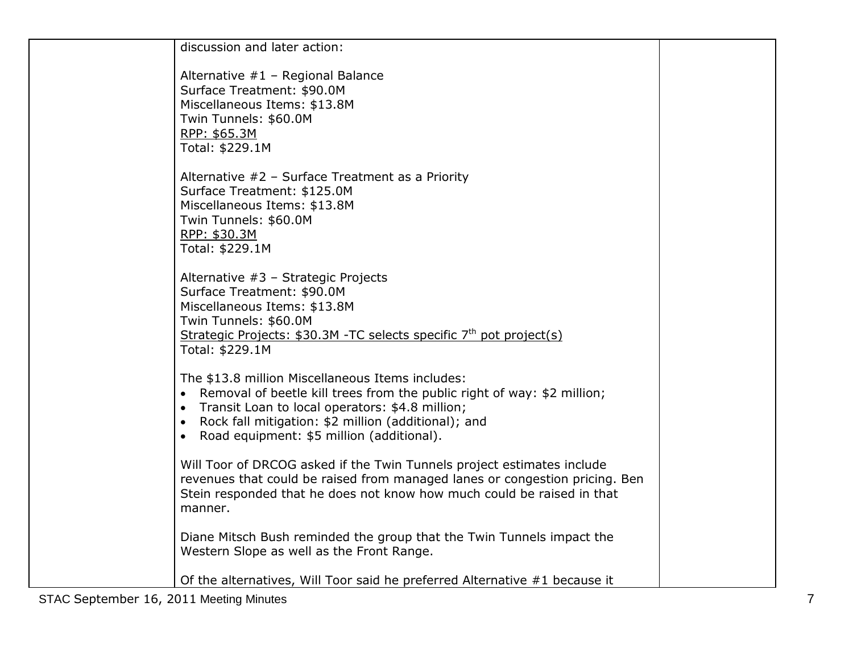| discussion and later action:                                                                                                                                                                                                                                                               |  |
|--------------------------------------------------------------------------------------------------------------------------------------------------------------------------------------------------------------------------------------------------------------------------------------------|--|
| Alternative #1 - Regional Balance<br>Surface Treatment: \$90.0M<br>Miscellaneous Items: \$13.8M<br>Twin Tunnels: \$60.0M<br>RPP: \$65.3M<br>Total: \$229.1M                                                                                                                                |  |
| Alternative $#2$ – Surface Treatment as a Priority<br>Surface Treatment: \$125.0M<br>Miscellaneous Items: \$13.8M<br>Twin Tunnels: \$60.0M<br>RPP: \$30.3M<br>Total: \$229.1M                                                                                                              |  |
| Alternative #3 - Strategic Projects<br>Surface Treatment: \$90.0M<br>Miscellaneous Items: \$13.8M<br>Twin Tunnels: \$60.0M<br>Strategic Projects: $$30.3M$ -TC selects specific $7th$ pot project(s)<br>Total: \$229.1M                                                                    |  |
| The \$13.8 million Miscellaneous Items includes:<br>• Removal of beetle kill trees from the public right of way: \$2 million;<br>• Transit Loan to local operators: \$4.8 million;<br>• Rock fall mitigation: \$2 million (additional); and<br>• Road equipment: \$5 million (additional). |  |
| Will Toor of DRCOG asked if the Twin Tunnels project estimates include<br>revenues that could be raised from managed lanes or congestion pricing. Ben<br>Stein responded that he does not know how much could be raised in that<br>manner.                                                 |  |
| Diane Mitsch Bush reminded the group that the Twin Tunnels impact the<br>Western Slope as well as the Front Range.                                                                                                                                                                         |  |
| Of the alternatives, Will Toor said he preferred Alternative #1 because it                                                                                                                                                                                                                 |  |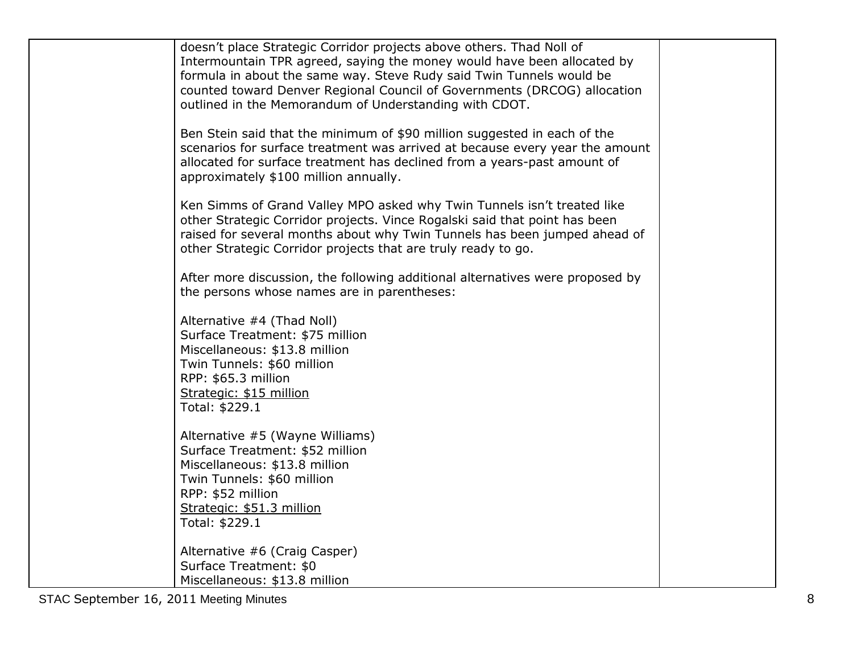| doesn't place Strategic Corridor projects above others. Thad Noll of<br>Intermountain TPR agreed, saying the money would have been allocated by<br>formula in about the same way. Steve Rudy said Twin Tunnels would be<br>counted toward Denver Regional Council of Governments (DRCOG) allocation<br>outlined in the Memorandum of Understanding with CDOT. |  |
|---------------------------------------------------------------------------------------------------------------------------------------------------------------------------------------------------------------------------------------------------------------------------------------------------------------------------------------------------------------|--|
| Ben Stein said that the minimum of \$90 million suggested in each of the<br>scenarios for surface treatment was arrived at because every year the amount<br>allocated for surface treatment has declined from a years-past amount of<br>approximately \$100 million annually.                                                                                 |  |
| Ken Simms of Grand Valley MPO asked why Twin Tunnels isn't treated like<br>other Strategic Corridor projects. Vince Rogalski said that point has been<br>raised for several months about why Twin Tunnels has been jumped ahead of<br>other Strategic Corridor projects that are truly ready to go.                                                           |  |
| After more discussion, the following additional alternatives were proposed by<br>the persons whose names are in parentheses:                                                                                                                                                                                                                                  |  |
| Alternative #4 (Thad Noll)<br>Surface Treatment: \$75 million<br>Miscellaneous: \$13.8 million<br>Twin Tunnels: \$60 million<br>RPP: \$65.3 million<br>Strategic: \$15 million<br>Total: \$229.1                                                                                                                                                              |  |
| Alternative #5 (Wayne Williams)<br>Surface Treatment: \$52 million<br>Miscellaneous: \$13.8 million<br>Twin Tunnels: \$60 million<br>RPP: \$52 million<br>Strategic: \$51.3 million<br>Total: \$229.1                                                                                                                                                         |  |
| Alternative #6 (Craig Casper)<br>Surface Treatment: \$0<br>Miscellaneous: \$13.8 million                                                                                                                                                                                                                                                                      |  |

STAC September 16, 2011 Meeting Minutes 8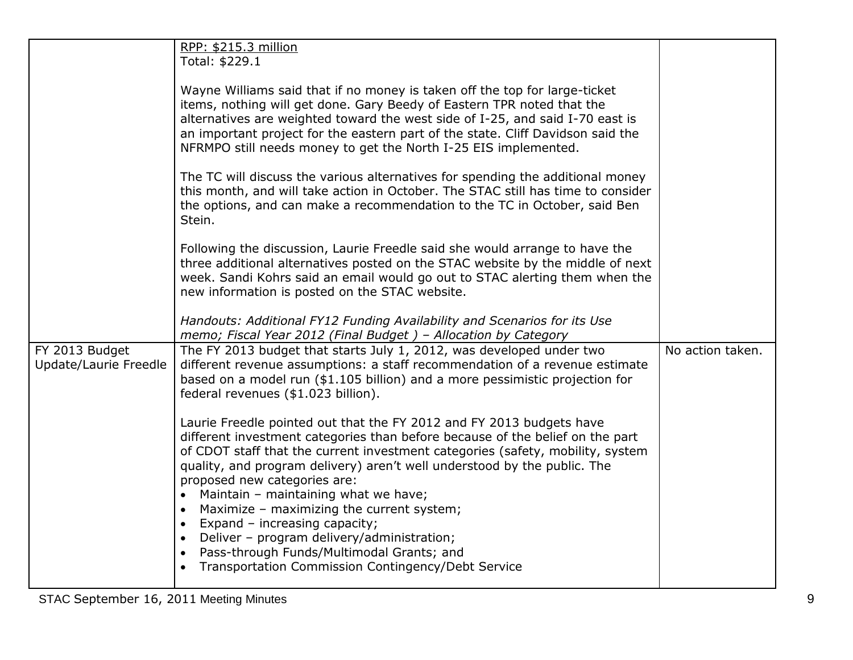|                                         | RPP: \$215.3 million<br>Total: \$229.1                                                                                                                                                                                                                                                                                                                                                                                                                                                                                                                                      |                  |
|-----------------------------------------|-----------------------------------------------------------------------------------------------------------------------------------------------------------------------------------------------------------------------------------------------------------------------------------------------------------------------------------------------------------------------------------------------------------------------------------------------------------------------------------------------------------------------------------------------------------------------------|------------------|
|                                         | Wayne Williams said that if no money is taken off the top for large-ticket<br>items, nothing will get done. Gary Beedy of Eastern TPR noted that the<br>alternatives are weighted toward the west side of I-25, and said I-70 east is<br>an important project for the eastern part of the state. Cliff Davidson said the<br>NFRMPO still needs money to get the North I-25 EIS implemented.                                                                                                                                                                                 |                  |
|                                         | The TC will discuss the various alternatives for spending the additional money<br>this month, and will take action in October. The STAC still has time to consider<br>the options, and can make a recommendation to the TC in October, said Ben<br>Stein.                                                                                                                                                                                                                                                                                                                   |                  |
|                                         | Following the discussion, Laurie Freedle said she would arrange to have the<br>three additional alternatives posted on the STAC website by the middle of next<br>week. Sandi Kohrs said an email would go out to STAC alerting them when the<br>new information is posted on the STAC website.                                                                                                                                                                                                                                                                              |                  |
|                                         | Handouts: Additional FY12 Funding Availability and Scenarios for its Use<br>memo; Fiscal Year 2012 (Final Budget) - Allocation by Category                                                                                                                                                                                                                                                                                                                                                                                                                                  |                  |
| FY 2013 Budget<br>Update/Laurie Freedle | The FY 2013 budget that starts July 1, 2012, was developed under two<br>different revenue assumptions: a staff recommendation of a revenue estimate<br>based on a model run (\$1.105 billion) and a more pessimistic projection for<br>federal revenues (\$1.023 billion).                                                                                                                                                                                                                                                                                                  | No action taken. |
|                                         | Laurie Freedle pointed out that the FY 2012 and FY 2013 budgets have<br>different investment categories than before because of the belief on the part<br>of CDOT staff that the current investment categories (safety, mobility, system<br>quality, and program delivery) aren't well understood by the public. The<br>proposed new categories are:<br>Maintain - maintaining what we have;<br>$\bullet$<br>Maximize - maximizing the current system;<br>$\bullet$<br>Expand - increasing capacity;<br>$\bullet$<br>Deliver - program delivery/administration;<br>$\bullet$ |                  |
|                                         | Pass-through Funds/Multimodal Grants; and<br>$\bullet$<br>Transportation Commission Contingency/Debt Service                                                                                                                                                                                                                                                                                                                                                                                                                                                                |                  |